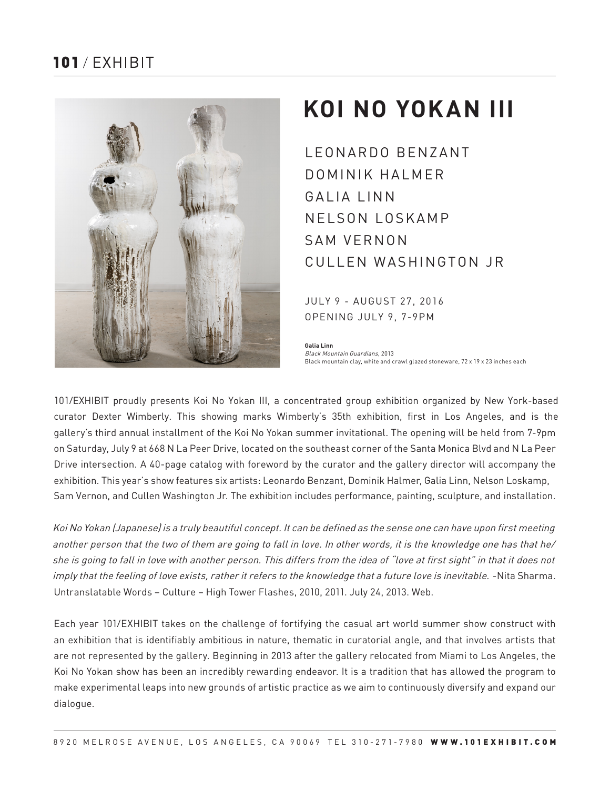# $101$  / FXHIBIT



# **KOI NO YOKAN III**

LEONARDO BENZANT DOMINIK HALMER GALIA LINN NELSON LOSKAMP SAM VERNON CULLEN WASHINGTON JR

JULY 9 - AUGUST 27, 2016 OPENING JULY 9, 7-9PM

**Galia Linn** Black Mountain Guardians, 2013 Black mountain clay, white and crawl glazed stoneware, 72 x 19 x 23 inches each

101/EXHIBIT proudly presents Koi No Yokan III, a concentrated group exhibition organized by New York-based curator Dexter Wimberly. This showing marks Wimberly's 35th exhibition, first in Los Angeles, and is the gallery's third annual installment of the Koi No Yokan summer invitational. The opening will be held from 7-9pm on Saturday, July 9 at 668 N La Peer Drive, located on the southeast corner of the Santa Monica Blvd and N La Peer Drive intersection. A 40-page catalog with foreword by the curator and the gallery director will accompany the exhibition. This year's show features six artists: Leonardo Benzant, Dominik Halmer, Galia Linn, Nelson Loskamp, Sam Vernon, and Cullen Washington Jr. The exhibition includes performance, painting, sculpture, and installation.

Koi No Yokan (Japanese) is a truly beautiful concept. It can be defined as the sense one can have upon first meeting another person that the two of them are going to fall in love. In other words, it is the knowledge one has that he/ she is going to fall in love with another person. This differs from the idea of "love at first sight" in that it does not imply that the feeling of love exists, rather it refers to the knowledge that a future love is inevitable. -Nita Sharma. Untranslatable Words – Culture – High Tower Flashes, 2010, 2011. July 24, 2013. Web.

Each year 101/EXHIBIT takes on the challenge of fortifying the casual art world summer show construct with an exhibition that is identifiably ambitious in nature, thematic in curatorial angle, and that involves artists that are not represented by the gallery. Beginning in 2013 after the gallery relocated from Miami to Los Angeles, the Koi No Yokan show has been an incredibly rewarding endeavor. It is a tradition that has allowed the program to make experimental leaps into new grounds of artistic practice as we aim to continuously diversify and expand our dialogue.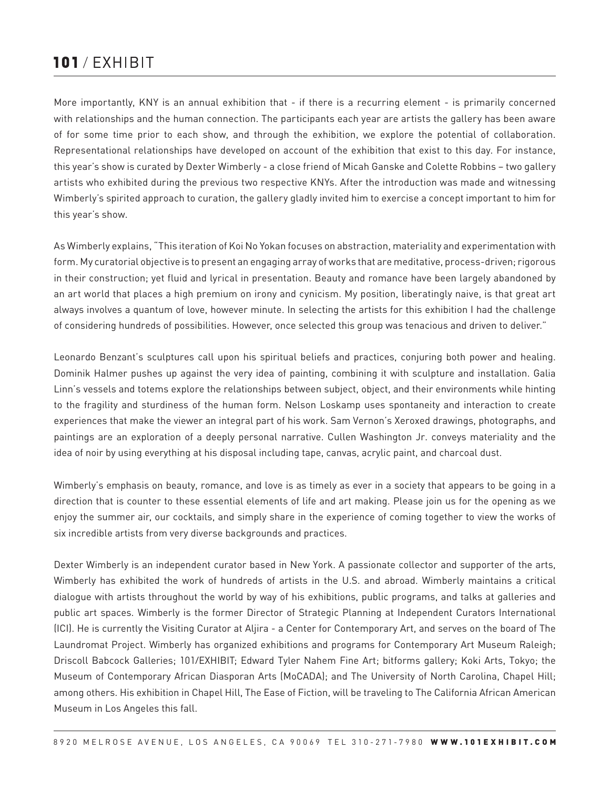# $101$  / FXHIBIT

More importantly, KNY is an annual exhibition that - if there is a recurring element - is primarily concerned with relationships and the human connection. The participants each year are artists the gallery has been aware of for some time prior to each show, and through the exhibition, we explore the potential of collaboration. Representational relationships have developed on account of the exhibition that exist to this day. For instance, this year's show is curated by Dexter Wimberly - a close friend of Micah Ganske and Colette Robbins – two gallery artists who exhibited during the previous two respective KNYs. After the introduction was made and witnessing Wimberly's spirited approach to curation, the gallery gladly invited him to exercise a concept important to him for this year's show.

As Wimberly explains, "This iteration of Koi No Yokan focuses on abstraction, materiality and experimentation with form. My curatorial objective is to present an engaging array of works that are meditative, process-driven; rigorous in their construction; yet fluid and lyrical in presentation. Beauty and romance have been largely abandoned by an art world that places a high premium on irony and cynicism. My position, liberatingly naive, is that great art always involves a quantum of love, however minute. In selecting the artists for this exhibition I had the challenge of considering hundreds of possibilities. However, once selected this group was tenacious and driven to deliver."

Leonardo Benzant's sculptures call upon his spiritual beliefs and practices, conjuring both power and healing. Dominik Halmer pushes up against the very idea of painting, combining it with sculpture and installation. Galia Linn's vessels and totems explore the relationships between subject, object, and their environments while hinting to the fragility and sturdiness of the human form. Nelson Loskamp uses spontaneity and interaction to create experiences that make the viewer an integral part of his work. Sam Vernon's Xeroxed drawings, photographs, and paintings are an exploration of a deeply personal narrative. Cullen Washington Jr. conveys materiality and the idea of noir by using everything at his disposal including tape, canvas, acrylic paint, and charcoal dust.

Wimberly's emphasis on beauty, romance, and love is as timely as ever in a society that appears to be going in a direction that is counter to these essential elements of life and art making. Please join us for the opening as we enjoy the summer air, our cocktails, and simply share in the experience of coming together to view the works of six incredible artists from very diverse backgrounds and practices.

Dexter Wimberly is an independent curator based in New York. A passionate collector and supporter of the arts, Wimberly has exhibited the work of hundreds of artists in the U.S. and abroad. Wimberly maintains a critical dialogue with artists throughout the world by way of his exhibitions, public programs, and talks at galleries and public art spaces. Wimberly is the former Director of Strategic Planning at Independent Curators International (ICI). He is currently the Visiting Curator at Aljira - a Center for Contemporary Art, and serves on the board of The Laundromat Project. Wimberly has organized exhibitions and programs for Contemporary Art Museum Raleigh; Driscoll Babcock Galleries; 101/EXHIBIT; Edward Tyler Nahem Fine Art; bitforms gallery; Koki Arts, Tokyo; the Museum of Contemporary African Diasporan Arts (MoCADA); and The University of North Carolina, Chapel Hill; among others. His exhibition in Chapel Hill, The Ease of Fiction, will be traveling to The California African American Museum in Los Angeles this fall.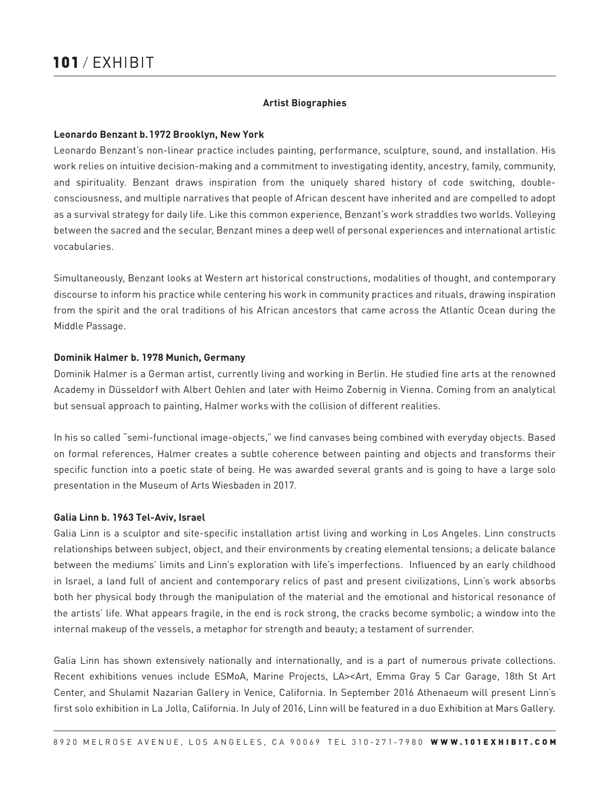#### **Artist Biographies**

#### **Leonardo Benzant b.1972 Brooklyn, New York**

Leonardo Benzant's non-linear practice includes painting, performance, sculpture, sound, and installation. His work relies on intuitive decision-making and a commitment to investigating identity, ancestry, family, community, and spirituality. Benzant draws inspiration from the uniquely shared history of code switching, doubleconsciousness, and multiple narratives that people of African descent have inherited and are compelled to adopt as a survival strategy for daily life. Like this common experience, Benzant's work straddles two worlds. Volleying between the sacred and the secular, Benzant mines a deep well of personal experiences and international artistic vocabularies.

Simultaneously, Benzant looks at Western art historical constructions, modalities of thought, and contemporary discourse to inform his practice while centering his work in community practices and rituals, drawing inspiration from the spirit and the oral traditions of his African ancestors that came across the Atlantic Ocean during the Middle Passage.

#### **Dominik Halmer b. 1978 Munich, Germany**

Dominik Halmer is a German artist, currently living and working in Berlin. He studied fine arts at the renowned Academy in Düsseldorf with Albert Oehlen and later with Heimo Zobernig in Vienna. Coming from an analytical but sensual approach to painting, Halmer works with the collision of different realities.

In his so called "semi-functional image-objects," we find canvases being combined with everyday objects. Based on formal references, Halmer creates a subtle coherence between painting and objects and transforms their specific function into a poetic state of being. He was awarded several grants and is going to have a large solo presentation in the Museum of Arts Wiesbaden in 2017.

#### **Galia Linn b. 1963 Tel-Aviv, Israel**

Galia Linn is a sculptor and site-specific installation artist living and working in Los Angeles. Linn constructs relationships between subject, object, and their environments by creating elemental tensions; a delicate balance between the mediums' limits and Linn's exploration with life's imperfections. Influenced by an early childhood in Israel, a land full of ancient and contemporary relics of past and present civilizations, Linn's work absorbs both her physical body through the manipulation of the material and the emotional and historical resonance of the artists' life. What appears fragile, in the end is rock strong, the cracks become symbolic; a window into the internal makeup of the vessels, a metaphor for strength and beauty; a testament of surrender.

Galia Linn has shown extensively nationally and internationally, and is a part of numerous private collections. Recent exhibitions venues include ESMoA, Marine Projects, LA><Art, Emma Gray 5 Car Garage, 18th St Art Center, and Shulamit Nazarian Gallery in Venice, California. In September 2016 Athenaeum will present Linn's first solo exhibition in La Jolla, California. In July of 2016, Linn will be featured in a duo Exhibition at Mars Gallery.